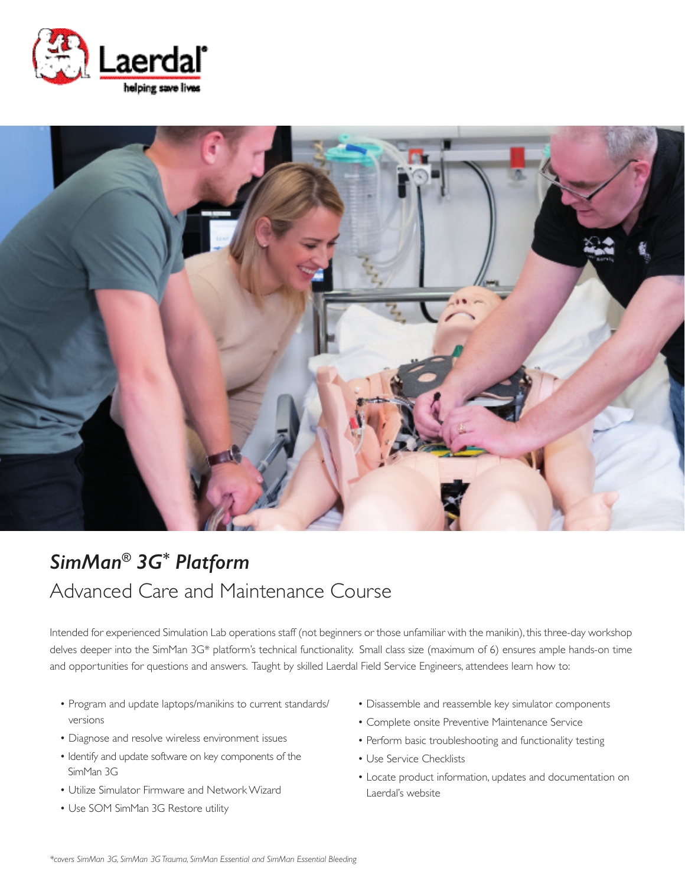



# *SimMan® 3G\* Platform* Advanced Care and Maintenance Course

Intended for experienced Simulation Lab operations staff (not beginners or those unfamiliar with the manikin), this three-day workshop delves deeper into the SimMan 3G\* platform's technical functionality. Small class size (maximum of 6) ensures ample hands-on time and opportunities for questions and answers. Taught by skilled Laerdal Field Service Engineers, attendees learn how to:

- Program and update laptops/manikins to current standards/ versions
- Diagnose and resolve wireless environment issues
- Identify and update software on key components of the SimMan 3G
- Utilize Simulator Firmware and Network Wizard
- Use SOM SimMan 3G Restore utility
- Disassemble and reassemble key simulator components
- Complete onsite Preventive Maintenance Service
- Perform basic troubleshooting and functionality testing
- Use Service Checklists
- Locate product information, updates and documentation on Laerdal's website